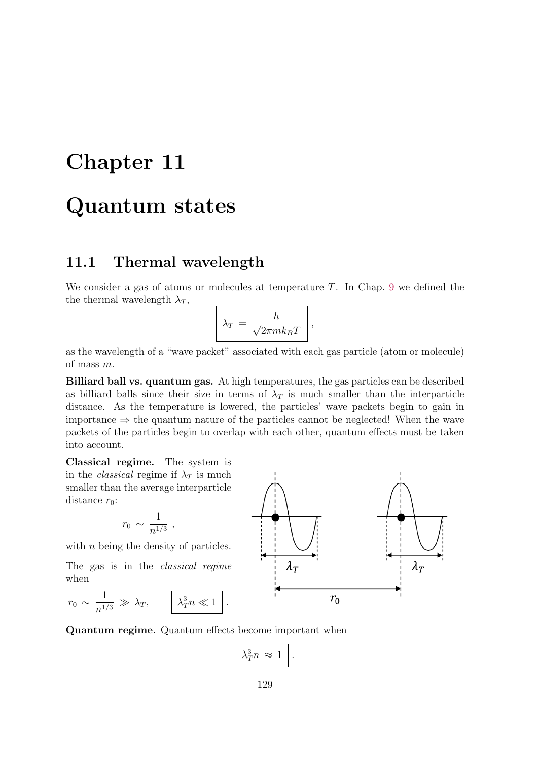# Chapter 11

# Quantum states

### 11.1 Thermal wavelength

We consider a gas of atoms or molecules at temperature  $T$ . In Chap. 9 we defined the the thermal wavelength  $\lambda_T$ ,

$$
\lambda_T = \frac{h}{\sqrt{2\pi mk_BT}} \Bigg|,
$$

as the wavelength of a "wave packet" associated with each gas particle (atom or molecule) of mass m.

Billiard ball vs. quantum gas. At high temperatures, the gas particles can be described as billiard balls since their size in terms of  $\lambda_T$  is much smaller than the interparticle distance. As the temperature is lowered, the particles' wave packets begin to gain in importance  $\Rightarrow$  the quantum nature of the particles cannot be neglected! When the wave packets of the particles begin to overlap with each other, quantum effects must be taken into account.

Classical regime. The system is in the *classical* regime if  $\lambda_T$  is much smaller than the average interparticle distance  $r_0$ :

$$
r_0 \sim \frac{1}{n^{1/3}} \; ,
$$

with *n* being the density of particles.

The gas is in the classical regime when

$$
r_0 \sim \frac{1}{n^{1/3}} \gg \lambda_T, \qquad \boxed{\lambda_T^3 n \ll 1}.
$$

Quantum regime. Quantum effects become important when

$$
\lambda_T^3 n \approx 1 \, .
$$

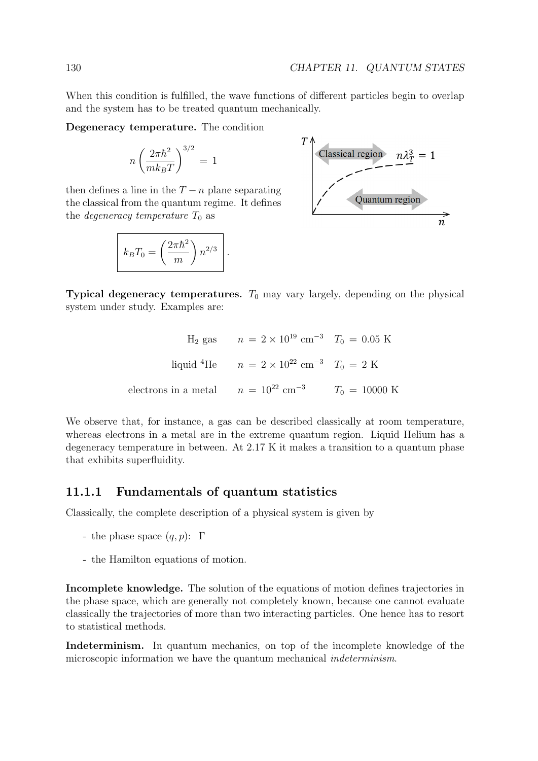When this condition is fulfilled, the wave functions of different particles begin to overlap and the system has to be treated quantum mechanically.

Degeneracy temperature. The condition

$$
n\left(\frac{2\pi\hbar^2}{mk_BT}\right)^{3/2}\,=\,1
$$

then defines a line in the  $T - n$  plane separating the classical from the quantum regime. It defines the *degeneracy temperature*  $T_0$  as

$$
k_B T_0 = \left(\frac{2\pi\hbar^2}{m}\right) n^{2/3} \Bigg|.
$$



Typical degeneracy temperatures.  $T_0$  may vary largely, depending on the physical system under study. Examples are:

$$
H_2
$$
 gas  $n = 2 \times 10^{19} \text{ cm}^{-3}$   $T_0 = 0.05 \text{ K}$   
liquid<sup>4</sup>He  $n = 2 \times 10^{22} \text{ cm}^{-3}$   $T_0 = 2 \text{ K}$   
electrons in a metal  $n = 10^{22} \text{ cm}^{-3}$   $T_0 = 10000 \text{ K}$ 

We observe that, for instance, a gas can be described classically at room temperature, whereas electrons in a metal are in the extreme quantum region. Liquid Helium has a degeneracy temperature in between. At 2.17 K it makes a transition to a quantum phase that exhibits superfluidity.

#### 11.1.1 Fundamentals of quantum statistics

Classically, the complete description of a physical system is given by

- the phase space  $(q, p)$ : Γ
- the Hamilton equations of motion.

Incomplete knowledge. The solution of the equations of motion defines trajectories in the phase space, which are generally not completely known, because one cannot evaluate classically the trajectories of more than two interacting particles. One hence has to resort to statistical methods.

Indeterminism. In quantum mechanics, on top of the incomplete knowledge of the microscopic information we have the quantum mechanical *indeterminism*.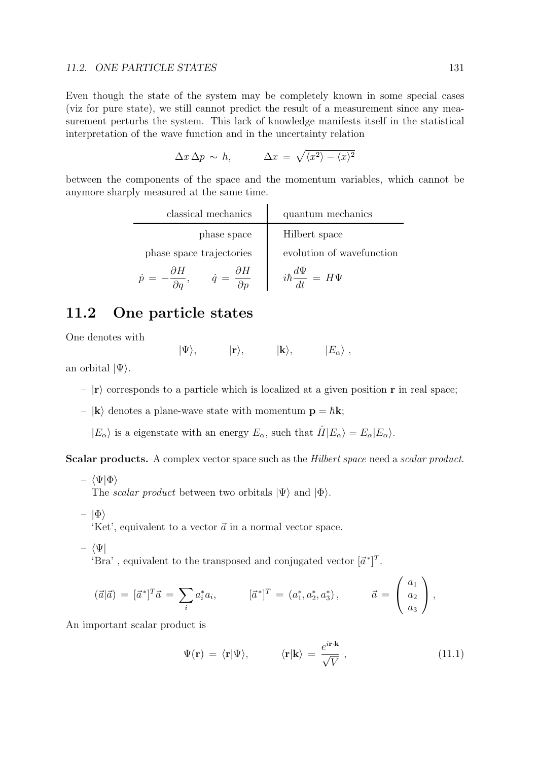#### 11.2. ONE PARTICLE STATES 131

Even though the state of the system may be completely known in some special cases (viz for pure state), we still cannot predict the result of a measurement since any measurement perturbs the system. This lack of knowledge manifests itself in the statistical interpretation of the wave function and in the uncertainty relation

$$
\Delta x \, \Delta p \, \sim \, h, \qquad \Delta x \, = \, \sqrt{\langle x^2 \rangle - \langle x \rangle^2}
$$

between the components of the space and the momentum variables, which cannot be anymore sharply measured at the same time.

| classical mechanics      | quantum mechanics                 |
|--------------------------|-----------------------------------|
| phase space              | Hilbert space                     |
| phase space trajectories | evolution of wavefunction         |
| ðН<br>dН                 | $i\hbar \frac{d\Psi}{dt} = H\Psi$ |

### 11.2 One particle states

One denotes with

 $|\Psi\rangle, \qquad |{\bf r}\rangle, \qquad |{\bf k}\rangle, \qquad |E_\alpha\rangle,$ 

an orbital  $|\Psi\rangle$ .

- $|r\rangle$  corresponds to a particle which is localized at a given position r in real space;
- $|\mathbf{k}\rangle$  denotes a plane-wave state with momentum  $\mathbf{p} = \hbar \mathbf{k}$ ;
- $|E_{\alpha}\rangle$  is a eigenstate with an energy  $E_{\alpha}$ , such that  $\hat{H}|E_{\alpha}\rangle = E_{\alpha}|E_{\alpha}\rangle$ .

Scalar products. A complex vector space such as the Hilbert space need a scalar product.

–  $\langle \Psi | \Phi \rangle$ 

The *scalar product* between two orbitals  $|\Psi\rangle$  and  $|\Phi\rangle$ .

–  $|\Phi\rangle$ 

'Ket', equivalent to a vector  $\vec{a}$  in a normal vector space.

–  $\langle \Psi |$ 

'Bra', equivalent to the transposed and conjugated vector  $[\vec{a}^*]^T$ .

$$
(\vec{a}|\vec{a}) = [\vec{a}^*]^T \vec{a} = \sum_i a_i^* a_i, \qquad [\vec{a}^*]^T = (a_1^*, a_2^*, a_3^*), \qquad \vec{a} = \begin{pmatrix} a_1 \\ a_2 \\ a_3 \end{pmatrix},
$$

An important scalar product is

$$
\Psi(\mathbf{r}) = \langle \mathbf{r} | \Psi \rangle, \qquad \langle \mathbf{r} | \mathbf{k} \rangle = \frac{e^{i \mathbf{r} \cdot \mathbf{k}}}{\sqrt{V}}, \qquad (11.1)
$$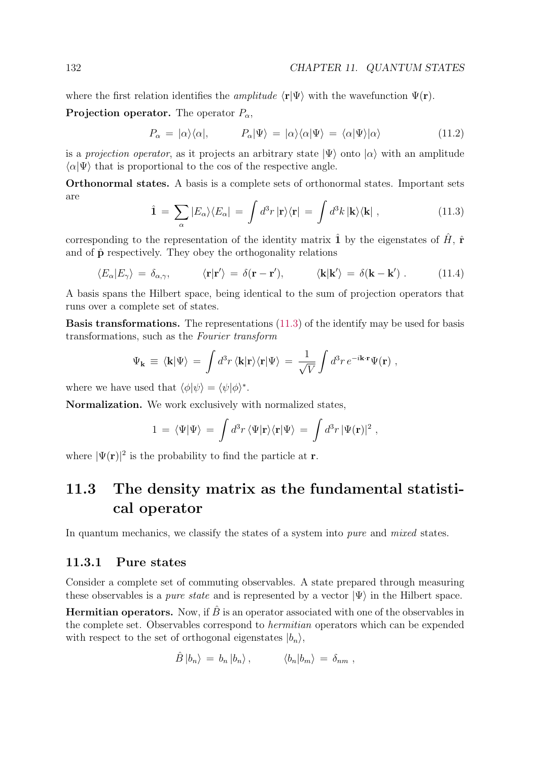where the first relation identifies the *amplitude*  $\langle \mathbf{r}|\Psi\rangle$  with the wavefunction  $\Psi(\mathbf{r})$ .

**Projection operator.** The operator  $P_{\alpha}$ ,

$$
P_{\alpha} = |\alpha\rangle\langle\alpha|, \qquad P_{\alpha}|\Psi\rangle = |\alpha\rangle\langle\alpha|\Psi\rangle = \langle\alpha|\Psi\rangle|\alpha\rangle \qquad (11.2)
$$

is a projection operator, as it projects an arbitrary state  $|\Psi\rangle$  onto  $|\alpha\rangle$  with an amplitude  $\langle \alpha | \Psi \rangle$  that is proportional to the cos of the respective angle.

Orthonormal states. A basis is a complete sets of orthonormal states. Important sets are

$$
\hat{\mathbf{1}} = \sum_{\alpha} |E_{\alpha}\rangle\langle E_{\alpha}| = \int d^3r \, |\mathbf{r}\rangle\langle\mathbf{r}| = \int d^3k \, |\mathbf{k}\rangle\langle\mathbf{k}| \,, \tag{11.3}
$$

corresponding to the representation of the identity matrix  $\hat{1}$  by the eigenstates of  $\hat{H}$ ,  $\hat{r}$ and of  $\hat{\mathbf{p}}$  respectively. They obey the orthogonality relations

$$
\langle E_{\alpha}|E_{\gamma}\rangle = \delta_{\alpha,\gamma}, \qquad \langle \mathbf{r}|\mathbf{r}'\rangle = \delta(\mathbf{r}-\mathbf{r}'), \qquad \langle \mathbf{k}|\mathbf{k}'\rangle = \delta(\mathbf{k}-\mathbf{k}'). \qquad (11.4)
$$

A basis spans the Hilbert space, being identical to the sum of projection operators that runs over a complete set of states.

Basis transformations. The representations (11.3) of the identify may be used for basis transformations, such as the Fourier transform

$$
\Psi_{\mathbf{k}} \equiv \langle \mathbf{k} | \Psi \rangle = \int d^3 r \, \langle \mathbf{k} | \mathbf{r} \rangle \langle \mathbf{r} | \Psi \rangle = \frac{1}{\sqrt{V}} \int d^3 r \, e^{-i \mathbf{k} \cdot \mathbf{r}} \Psi(\mathbf{r}) \; ,
$$

where we have used that  $\langle \phi | \psi \rangle = \langle \psi | \phi \rangle^*$ .

Normalization. We work exclusively with normalized states,

$$
1 = \langle \Psi | \Psi \rangle = \int d^3r \, \langle \Psi | \mathbf{r} \rangle \langle \mathbf{r} | \Psi \rangle = \int d^3r \, |\Psi(\mathbf{r})|^2 ,
$$

where  $|\Psi(\mathbf{r})|^2$  is the probability to find the particle at **r**.

## 11.3 The density matrix as the fundamental statistical operator

In quantum mechanics, we classify the states of a system into *pure* and *mixed* states.

#### 11.3.1 Pure states

Consider a complete set of commuting observables. A state prepared through measuring these observables is a *pure state* and is represented by a vector  $|\Psi\rangle$  in the Hilbert space.

**Hermitian operators.** Now, if  $\hat{B}$  is an operator associated with one of the observables in the complete set. Observables correspond to hermitian operators which can be expended with respect to the set of orthogonal eigenstates  $|b_n\rangle$ ,

$$
\hat{B} |b_n\rangle = b_n |b_n\rangle, \qquad \langle b_n |b_m\rangle = \delta_{nm} ,
$$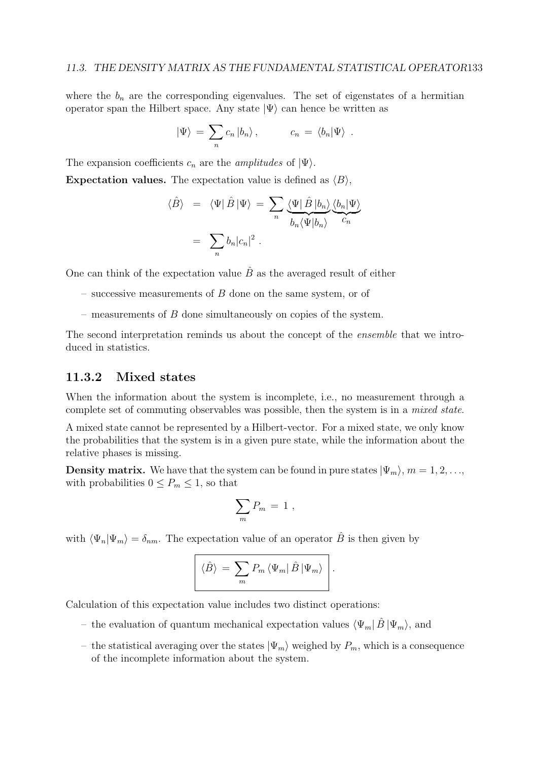where the  $b_n$  are the corresponding eigenvalues. The set of eigenstates of a hermitian operator span the Hilbert space. Any state  $|\Psi\rangle$  can hence be written as

$$
|\Psi\rangle = \sum_{n} c_n |b_n\rangle , \qquad c_n = \langle b_n | \Psi \rangle .
$$

The expansion coefficients  $c_n$  are the *amplitudes* of  $|\Psi\rangle$ .

**Expectation values.** The expectation value is defined as  $\langle B \rangle$ ,

$$
\langle \hat{B} \rangle = \langle \Psi | \hat{B} | \Psi \rangle = \sum_{n} \underbrace{\langle \Psi | \hat{B} | b_{n} \rangle}_{b_{n} \langle \Psi | b_{n} \rangle} \underbrace{\langle b_{n} | \Psi \rangle}_{C_{n}}
$$

$$
= \sum_{n} b_{n} |c_{n}|^{2} .
$$

One can think of the expectation value  $\hat{B}$  as the averaged result of either

- successive measurements of  $B$  done on the same system, or of
- measurements of  $B$  done simultaneously on copies of the system.

The second interpretation reminds us about the concept of the *ensemble* that we introduced in statistics.

### 11.3.2 Mixed states

When the information about the system is incomplete, i.e., no measurement through a complete set of commuting observables was possible, then the system is in a mixed state.

A mixed state cannot be represented by a Hilbert-vector. For a mixed state, we only know the probabilities that the system is in a given pure state, while the information about the relative phases is missing.

**Density matrix.** We have that the system can be found in pure states  $|\Psi_m\rangle$ ,  $m = 1, 2, \ldots$ , with probabilities  $0 \le P_m \le 1$ , so that

$$
\sum_m P_m = 1 \; ,
$$

with  $\langle \Psi_n | \Psi_m \rangle = \delta_{nm}$ . The expectation value of an operator  $\hat{B}$  is then given by

$$
\langle \hat{B} \rangle = \sum_{m} P_{m} \langle \Psi_{m} | \hat{B} | \Psi_{m} \rangle \Bigg|.
$$

Calculation of this expectation value includes two distinct operations:

- the evaluation of quantum mechanical expectation values  $\langle \Psi_m | \hat{B} | \Psi_m \rangle$ , and
- the statistical averaging over the states  $|\Psi_m\rangle$  weighed by  $P_m$ , which is a consequence of the incomplete information about the system.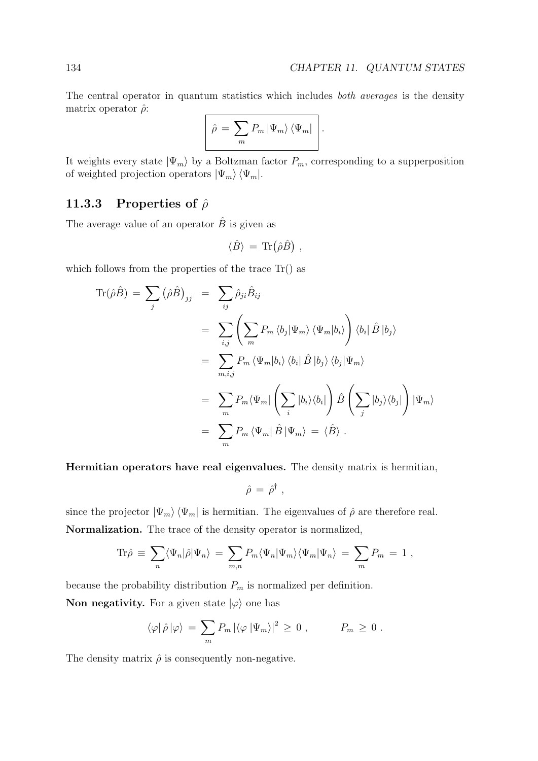The central operator in quantum statistics which includes *both averages* is the density matrix operator  $\hat{\rho}$ :

$$
\hat{\rho} = \sum_{m} P_{m} | \Psi_{m} \rangle \langle \Psi_{m} |
$$

It weights every state  $|\Psi_m\rangle$  by a Boltzman factor  $P_m$ , corresponding to a supperposition of weighted projection operators  $|\Psi_m\rangle\,\langle\Psi_m|.$ 

#### 11.3.3 Properties of  $\hat{\rho}$

The average value of an operator  $\hat{B}$  is given as

$$
\langle \ddot{B} \rangle = \text{Tr}(\hat{\rho} \ddot{B}) \; ,
$$

which follows from the properties of the trace  $\text{Tr}()$  as

$$
\begin{split} \text{Tr}(\hat{\rho}\hat{B}) &= \sum_{j} \left(\hat{\rho}\hat{B}\right)_{jj} = \sum_{ij} \hat{\rho}_{ji}\hat{B}_{ij} \\ &= \sum_{i,j} \left(\sum_{m} P_{m} \langle b_{j} | \Psi_{m} \rangle \langle \Psi_{m} | b_{i} \rangle \right) \langle b_{i} | \hat{B} | b_{j} \rangle \\ &= \sum_{m,i,j} P_{m} \langle \Psi_{m} | b_{i} \rangle \langle b_{i} | \hat{B} | b_{j} \rangle \langle b_{j} | \Psi_{m} \rangle \\ &= \sum_{m} P_{m} \langle \Psi_{m} | \left(\sum_{i} |b_{i} \rangle \langle b_{i} | \right) \hat{B} \left(\sum_{j} |b_{j} \rangle \langle b_{j} | \right) | \Psi_{m} \rangle \\ &= \sum_{m} P_{m} \langle \Psi_{m} | \hat{B} | \Psi_{m} \rangle = \langle \hat{B} \rangle \,. \end{split}
$$

Hermitian operators have real eigenvalues. The density matrix is hermitian,

$$
\hat{\rho} = \hat{\rho}^{\dagger} ,
$$

since the projector  $|\Psi_m\rangle \langle \Psi_m|$  is hermitian. The eigenvalues of  $\hat{\rho}$  are therefore real. Normalization. The trace of the density operator is normalized,

$$
\text{Tr}\hat{\rho} \equiv \sum_{n} \langle \Psi_n | \hat{\rho} | \Psi_n \rangle = \sum_{m,n} P_m \langle \Psi_n | \Psi_m \rangle \langle \Psi_m | \Psi_n \rangle = \sum_{m} P_m = 1 ,
$$

because the probability distribution  $P_m$  is normalized per definition. **Non negativity.** For a given state  $|\varphi\rangle$  one has

$$
\langle \varphi | \hat{\rho} | \varphi \rangle = \sum_m P_m \left| \langle \varphi | \Psi_m \rangle \right|^2 \geq 0 , \qquad P_m \geq 0 .
$$

The density matrix  $\hat{\rho}$  is consequently non-negative.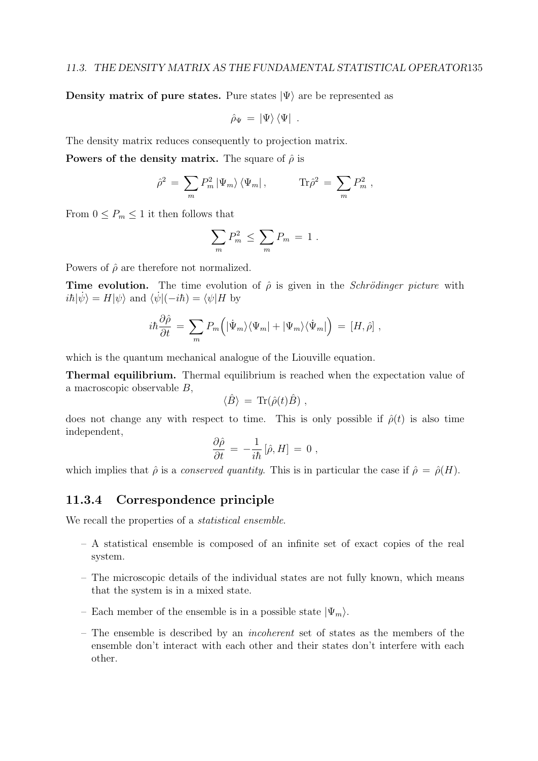Density matrix of pure states. Pure states  $|\Psi\rangle$  are be represented as

$$
\hat{\rho}_{\Psi} = \left| \Psi \right\rangle \left\langle \Psi \right| \ .
$$

The density matrix reduces consequently to projection matrix.

**Powers of the density matrix.** The square of  $\hat{\rho}$  is

$$
\hat{\rho}^2 = \sum_m P_m^2 |\Psi_m\rangle \langle \Psi_m | , \qquad \text{Tr}\hat{\rho}^2 = \sum_m P_m^2 ,
$$

From  $0 \le P_m \le 1$  it then follows that

$$
\sum_m P_m^2 \le \sum_m P_m = 1.
$$

Powers of  $\hat{\rho}$  are therefore not normalized.

**Time evolution.** The time evolution of  $\hat{\rho}$  is given in the *Schrödinger picture* with  $i\hbar|\psi\rangle = H|\psi\rangle$  and  $\langle\psi|(-i\hbar) = \langle\psi|H\rangle$  by

$$
i\hbar \frac{\partial \hat{\rho}}{\partial t} = \sum_{m} P_{m} \left( |\Psi_{m}\rangle\langle\Psi_{m}| + |\Psi_{m}\rangle\langle\Psi_{m}|\right) = [H, \hat{\rho}],
$$

which is the quantum mechanical analogue of the Liouville equation.

Thermal equilibrium. Thermal equilibrium is reached when the expectation value of a macroscopic observable B,

$$
\langle \hat{B} \rangle = \text{Tr}(\hat{\rho}(t)\hat{B}) ,
$$

does not change any with respect to time. This is only possible if  $\rho(t)$  is also time independent,

$$
\frac{\partial \hat{\rho}}{\partial t} \,=\, -\frac{1}{i\hbar}\left[\hat{\rho},H\right] \,=\, 0 \,\,,
$$

which implies that  $\hat{\rho}$  is a *conserved quantity*. This is in particular the case if  $\hat{\rho} = \hat{\rho}(H)$ .

#### 11.3.4 Correspondence principle

We recall the properties of a statistical ensemble.

- A statistical ensemble is composed of an infinite set of exact copies of the real system.
- The microscopic details of the individual states are not fully known, which means that the system is in a mixed state.
- Each member of the ensemble is in a possible state  $|\Psi_m\rangle$ .
- The ensemble is described by an incoherent set of states as the members of the ensemble don't interact with each other and their states don't interfere with each other.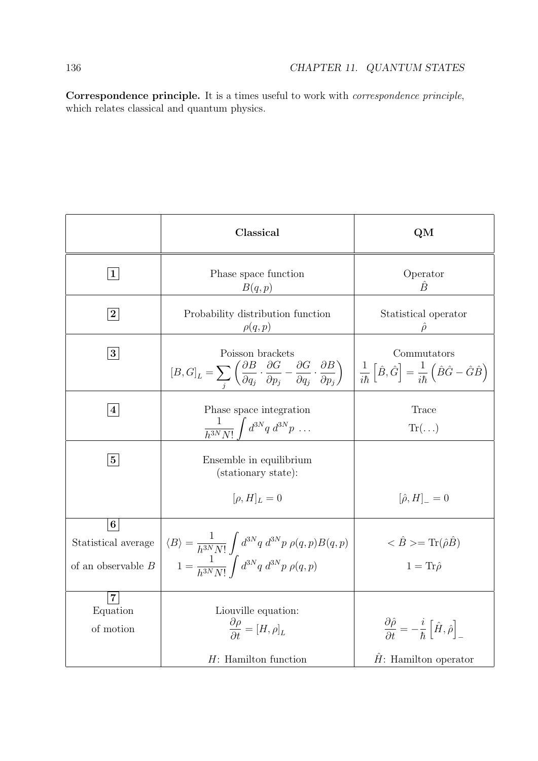Correspondence principle. It is a times useful to work with correspondence principle, which relates classical and quantum physics.

|                                                               | Classical                                                                                                                                                                                           | QM                                                                                                                                    |
|---------------------------------------------------------------|-----------------------------------------------------------------------------------------------------------------------------------------------------------------------------------------------------|---------------------------------------------------------------------------------------------------------------------------------------|
| $\mathbf{1}$                                                  | Phase space function<br>B(q,p)                                                                                                                                                                      | Operator<br>Ê                                                                                                                         |
| $\boldsymbol{2}$                                              | Probability distribution function<br>$\rho(q,p)$                                                                                                                                                    | Statistical operator                                                                                                                  |
| 3 <sup>1</sup>                                                | Poisson brackets<br>$[B,G]_L = \sum_i \left( \frac{\partial B}{\partial q_j} \cdot \frac{\partial G}{\partial p_j} - \frac{\partial G}{\partial q_j} \cdot \frac{\partial B}{\partial p_j} \right)$ | Commutators<br>$\frac{1}{i\hbar} \left[ \hat{B}, \hat{G} \right] = \frac{1}{i\hbar} \left( \hat{B} \hat{G} - \hat{G} \hat{B} \right)$ |
| $\vert 4 \vert$                                               | Phase space integration<br>$\frac{1}{h^{3N}N!}\int d^{3N}q\ d^{3N}p\ \ldots$                                                                                                                        | Trace<br>$\text{Tr}(\ldots)$                                                                                                          |
| 5 <sub>5</sub>                                                | Ensemble in equilibrium<br>(stationary state):                                                                                                                                                      |                                                                                                                                       |
|                                                               | $[\rho, H]_L = 0$                                                                                                                                                                                   | $[\hat{\rho}, H]_{-} = 0$                                                                                                             |
| 6 <sup>1</sup><br>Statistical average<br>of an observable $B$ | $\langle B \rangle = \frac{1}{h^{3N} N!} \int d^{3N} q \; d^{3N} p \; \rho(q,p) B(q,p)$<br>$1 = \frac{1}{b^{3N}N!} \int d^{3N}q \ d^{3N}p \ \rho(q,p)$                                              | $\langle \hat{B} \rangle = \text{Tr}(\hat{\rho}\hat{B})$<br>$1 = \text{Tr}\hat{\rho}$                                                 |
| $\overline{7}$<br>Equation<br>of motion                       | Liouville equation:<br>$\frac{\partial \rho}{\partial t} = [H, \rho]_L$<br>$H$ : Hamilton function                                                                                                  | $\frac{\partial \hat{\rho}}{\partial t} = -\frac{i}{\hbar} \left[ \hat{H}, \hat{\rho} \right]$<br>$H:$ Hamilton operator              |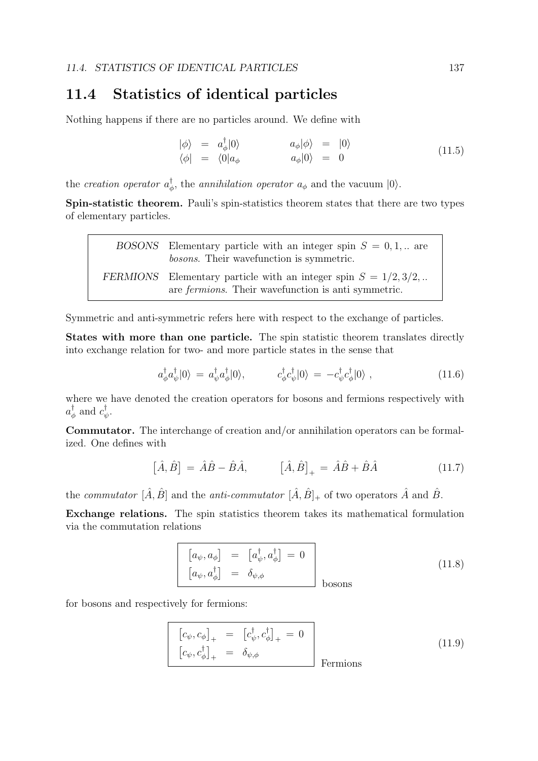### 11.4 Statistics of identical particles

Nothing happens if there are no particles around. We define with

$$
\begin{array}{rcl}\n|\phi\rangle & = & a_{\phi}^{\dagger}|0\rangle & a_{\phi}|\phi\rangle & = & |0\rangle \\
\langle \phi| & = & \langle 0|a_{\phi} & a_{\phi}|0\rangle & = & 0\n\end{array} \tag{11.5}
$$

the *creation operator*  $a_{\phi}^{\dagger}$ , the *annihilation operator*  $a_{\phi}$  and the vacuum  $|0\rangle$ .

Spin-statistic theorem. Pauli's spin-statistics theorem states that there are two types of elementary particles.

| BOSONS Elementary particle with an integer spin $S = 0, 1, $ are<br><i>bosons.</i> Their wavefunction is symmetric.               |
|-----------------------------------------------------------------------------------------------------------------------------------|
| FERMIONS Elementary particle with an integer spin $S = 1/2, 3/2, $<br>are <i>fermions</i> . Their wavefunction is anti-symmetric. |

Symmetric and anti-symmetric refers here with respect to the exchange of particles.

States with more than one particle. The spin statistic theorem translates directly into exchange relation for two- and more particle states in the sense that

$$
a^{\dagger}_{\phi} a^{\dagger}_{\psi} |0\rangle = a^{\dagger}_{\psi} a^{\dagger}_{\phi} |0\rangle, \qquad c^{\dagger}_{\phi} c^{\dagger}_{\psi} |0\rangle = -c^{\dagger}_{\psi} c^{\dagger}_{\phi} |0\rangle , \qquad (11.6)
$$

where we have denoted the creation operators for bosons and fermions respectively with  $a_{\phi}^{\dagger}$  and  $c_{\psi}^{\dagger}$ .

Commutator. The interchange of creation and/or annihilation operators can be formalized. One defines with

$$
\left[\hat{A}, \hat{B}\right] = \hat{A}\hat{B} - \hat{B}\hat{A}, \qquad \left[\hat{A}, \hat{B}\right]_{+} = \hat{A}\hat{B} + \hat{B}\hat{A} \tag{11.7}
$$

the commutator  $[\hat{A}, \hat{B}]$  and the anti-commutator  $[\hat{A}, \hat{B}]_+$  of two operators  $\hat{A}$  and  $\hat{B}$ .

Exchange relations. The spin statistics theorem takes its mathematical formulation via the commutation relations

$$
\begin{bmatrix} a_{\psi}, a_{\phi} \end{bmatrix} = \begin{bmatrix} a_{\psi}^{\dagger}, a_{\phi}^{\dagger} \end{bmatrix} = 0
$$
\n
$$
\begin{bmatrix} a_{\psi}, a_{\phi}^{\dagger} \end{bmatrix} = \delta_{\psi, \phi}
$$
\n
$$
\begin{array}{c} \text{bosons} \end{array} (11.8)
$$

for bosons and respectively for fermions:

$$
\begin{bmatrix} c_{\psi}, c_{\phi} \end{bmatrix}_{+} = \begin{bmatrix} c_{\psi}^{\dagger}, c_{\phi}^{\dagger} \end{bmatrix}_{+} = 0
$$
\n
$$
\begin{bmatrix} c_{\psi}, c_{\phi}^{\dagger} \end{bmatrix}_{+} = \delta_{\psi, \phi}
$$
\n
$$
\text{Fermions}
$$
\n(11.9)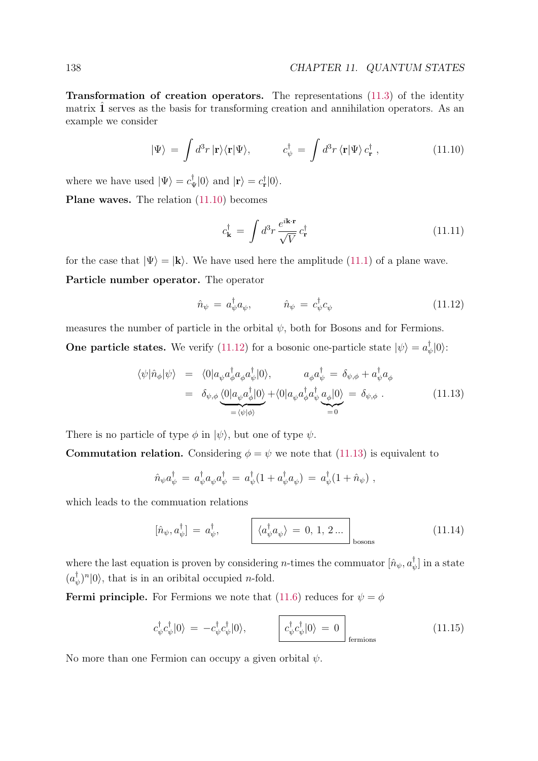Transformation of creation operators. The representations (11.3) of the identity matrix  $\hat{1}$  serves as the basis for transforming creation and annihilation operators. As an example we consider

$$
|\Psi\rangle = \int d^3r \, |\mathbf{r}\rangle\langle\mathbf{r}|\Psi\rangle, \qquad c_{\psi}^{\dagger} = \int d^3r \, \langle\mathbf{r}|\Psi\rangle \, c_{\mathbf{r}}^{\dagger} \,, \tag{11.10}
$$

where we have used  $|\Psi\rangle = c_{\Psi}^{\dagger} |0\rangle$  and  $|\mathbf{r}\rangle = c_{\mathbf{r}}^{\dagger} |0\rangle$ .

Plane waves. The relation (11.10) becomes

$$
c_{\mathbf{k}}^{\dagger} = \int d^3 r \, \frac{e^{i\mathbf{k} \cdot \mathbf{r}}}{\sqrt{V}} \, c_{\mathbf{r}}^{\dagger} \tag{11.11}
$$

for the case that  $|\Psi\rangle = |\mathbf{k}\rangle$ . We have used here the amplitude (11.1) of a plane wave.

Particle number operator. The operator

$$
\hat{n}_{\psi} = a_{\psi}^{\dagger} a_{\psi}, \qquad \hat{n}_{\psi} = c_{\psi}^{\dagger} c_{\psi} \qquad (11.12)
$$

measures the number of particle in the orbital  $\psi$ , both for Bosons and for Fermions. **One particle states.** We verify (11.12) for a bosonic one-particle state  $|\psi\rangle = a_{\psi}^{\dagger}|0\rangle$ :

$$
\langle \psi | \hat{n}_{\phi} | \psi \rangle = \langle 0 | a_{\psi} a_{\phi}^{\dagger} a_{\phi} a_{\psi}^{\dagger} | 0 \rangle, \qquad a_{\phi} a_{\psi}^{\dagger} = \delta_{\psi, \phi} + a_{\psi}^{\dagger} a_{\phi}
$$

$$
= \delta_{\psi, \phi} \underbrace{\langle 0 | a_{\psi} a_{\phi}^{\dagger} | 0 \rangle}_{= \langle \psi | \phi \rangle} + \langle 0 | a_{\psi} a_{\phi}^{\dagger} a_{\psi}^{\dagger} a_{\phi} | 0 \rangle = \delta_{\psi, \phi}. \qquad (11.13)
$$

There is no particle of type  $\phi$  in  $|\psi\rangle$ , but one of type  $\psi$ .

**Commutation relation.** Considering  $\phi = \psi$  we note that (11.13) is equivalent to

$$
\hat{n}_{\psi}a^{\dagger}_{\psi} = a^{\dagger}_{\psi}a_{\psi}a^{\dagger}_{\psi} = a^{\dagger}_{\psi}(1 + a^{\dagger}_{\psi}a_{\psi}) = a^{\dagger}_{\psi}(1 + \hat{n}_{\psi}) ,
$$

which leads to the commuation relations

$$
[\hat{n}_{\psi}, a_{\psi}^{\dagger}] = a_{\psi}^{\dagger}, \qquad \boxed{\langle a_{\psi}^{\dagger} a_{\psi} \rangle = 0, 1, 2 \dots}_{bosons}
$$
 (11.14)

where the last equation is proven by considering *n*-times the commuator  $[\hat{n}_{\psi}, a^{\dagger}_{\psi}]$  in a state  $(a^{\dagger}_{\psi})^n |0\rangle$ , that is in an oribital occupied *n*-fold.

**Fermi principle.** For Fermions we note that (11.6) reduces for  $\psi = \phi$ 

$$
c_{\psi}^{\dagger} c_{\psi}^{\dagger} |0\rangle = -c_{\psi}^{\dagger} c_{\psi}^{\dagger} |0\rangle, \qquad \qquad c_{\psi}^{\dagger} c_{\psi}^{\dagger} |0\rangle = 0 \qquad \qquad (11.15)
$$

No more than one Fermion can occupy a given orbital  $\psi$ .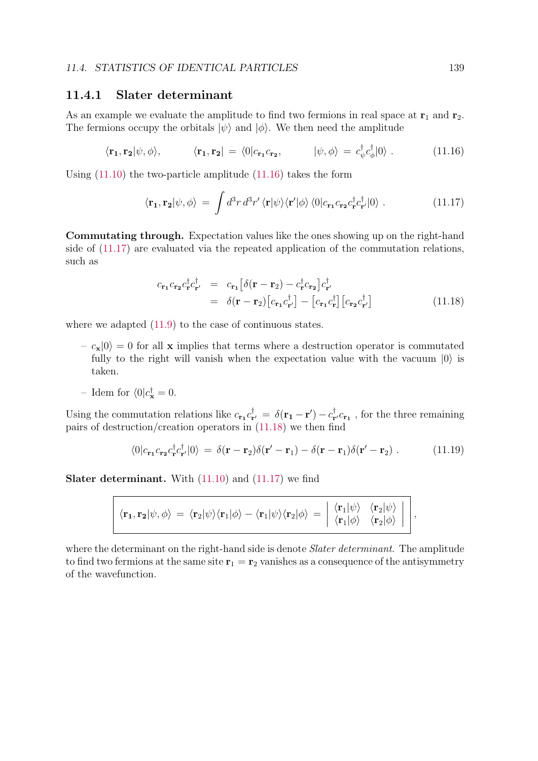#### 11.4.1 Slater determinant

As an example we evaluate the amplitude to find two fermions in real space at  $\mathbf{r}_1$  and  $\mathbf{r}_2$ . The fermions occupy the orbitals  $|\psi\rangle$  and  $|\phi\rangle$ . We then need the amplitude

$$
\langle \mathbf{r_1}, \mathbf{r_2} | \psi, \phi \rangle, \qquad \langle \mathbf{r_1}, \mathbf{r_2} | = \langle 0 | c_{\mathbf{r_1}} c_{\mathbf{r_2}}, \qquad | \psi, \phi \rangle = c_{\psi}^{\dagger} c_{\phi}^{\dagger} | 0 \rangle. \qquad (11.16)
$$

Using (11.10) the two-particle amplitude (11.16) takes the form

$$
\langle \mathbf{r_1}, \mathbf{r_2} | \psi, \phi \rangle = \int d^3 r \, d^3 r' \, \langle \mathbf{r} | \psi \rangle \langle \mathbf{r}' | \phi \rangle \, \langle 0 | c_{\mathbf{r_1}} c_{\mathbf{r_2}} c_{\mathbf{r}}^{\dagger} c_{\mathbf{r}'}^{\dagger} | 0 \rangle \; . \tag{11.17}
$$

Commutating through. Expectation values like the ones showing up on the right-hand side of (11.17) are evaluated via the repeated application of the commutation relations, such as

$$
c_{\mathbf{r}_1} c_{\mathbf{r}_2} c_{\mathbf{r}}^{\dagger} c_{\mathbf{r}'}^{\dagger} = c_{\mathbf{r}_1} \left[ \delta(\mathbf{r} - \mathbf{r}_2) - c_{\mathbf{r}}^{\dagger} c_{\mathbf{r}_2} \right] c_{\mathbf{r}'}^{\dagger}
$$
  
=  $\delta(\mathbf{r} - \mathbf{r}_2) \left[ c_{\mathbf{r}_1} c_{\mathbf{r}'}^{\dagger} \right] - \left[ c_{\mathbf{r}_1} c_{\mathbf{r}}^{\dagger} \right] \left[ c_{\mathbf{r}_2} c_{\mathbf{r}'}^{\dagger} \right]$  (11.18)

where we adapted  $(11.9)$  to the case of continuous states.

- $-c_{\mathbf{x}}|0\rangle = 0$  for all x implies that terms where a destruction operator is commutated fully to the right will vanish when the expectation value with the vacuum  $|0\rangle$  is taken.
- Idem for  $\langle 0 | c_{\mathbf{x}}^{\dagger} = 0$ .

Using the commutation relations like  $c_{\bf r_1} c_{\bf r'}^{\dagger} = \delta({\bf r_1} - {\bf r'}) - c_{\bf r'}^{\dagger} c_{\bf r_1}$ , for the three remaining pairs of destruction/creation operators in (11.18) we then find

$$
\langle 0|c_{\mathbf{r}_1}c_{\mathbf{r}_2}c_{\mathbf{r}}^{\dagger}c_{\mathbf{r}'}^{\dagger}|0\rangle = \delta(\mathbf{r}-\mathbf{r}_2)\delta(\mathbf{r}'-\mathbf{r}_1) - \delta(\mathbf{r}-\mathbf{r}_1)\delta(\mathbf{r}'-\mathbf{r}_2) . \qquad (11.19)
$$

Slater determinant. With (11.10) and (11.17) we find

$$
\langle \mathbf{r_1}, \mathbf{r_2} | \psi, \phi \rangle = \langle \mathbf{r_2} | \psi \rangle \langle \mathbf{r_1} | \phi \rangle - \langle \mathbf{r_1} | \psi \rangle \langle \mathbf{r_2} | \phi \rangle = \begin{vmatrix} \langle \mathbf{r_1} | \psi \rangle & \langle \mathbf{r_2} | \psi \rangle \\ \langle \mathbf{r_1} | \phi \rangle & \langle \mathbf{r_2} | \phi \rangle \end{vmatrix} ,
$$

where the determinant on the right-hand side is denote *Slater determinant*. The amplitude to find two fermions at the same site  $r_1 = r_2$  vanishes as a consequence of the antisymmetry of the wavefunction.